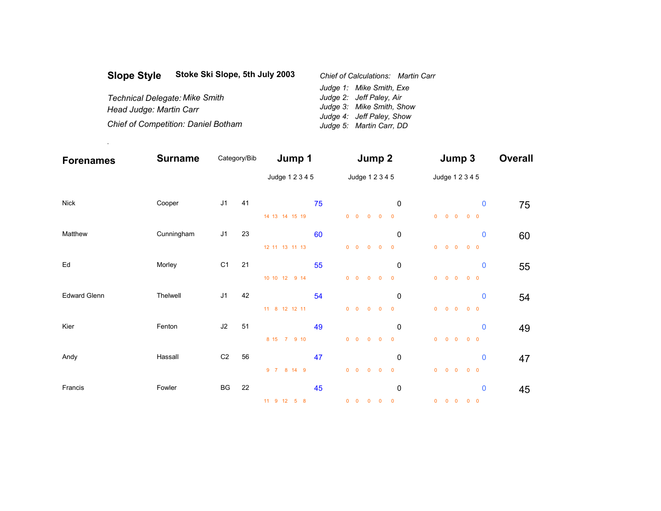| <b>Slope Style</b>                    | Stoke Ski Slope, 5th July 2003             | <b>Chief of Calculations: Martin Carr</b> |  |  |  |  |  |
|---------------------------------------|--------------------------------------------|-------------------------------------------|--|--|--|--|--|
|                                       |                                            | Judge 1: Mike Smith, Exe                  |  |  |  |  |  |
| <b>Technical Delegate: Mike Smith</b> |                                            | Judge 2: Jeff Paley, Air                  |  |  |  |  |  |
| Head Judge: Martin Carr               |                                            | Judge 3: Mike Smith, Show                 |  |  |  |  |  |
|                                       |                                            | Judge 4: Jeff Paley, Show                 |  |  |  |  |  |
|                                       | <b>Chief of Competition: Daniel Botham</b> | Judge 5: Martin Carr, DD                  |  |  |  |  |  |

.

| <b>Forenames</b>    | <b>Surname</b> | Category/Bib   |    | Jump 1          |    | Jump 2     |  |                                             |                         |                   | Jump 3                                 |             |    |
|---------------------|----------------|----------------|----|-----------------|----|------------|--|---------------------------------------------|-------------------------|-------------------|----------------------------------------|-------------|----|
|                     |                |                |    | Judge 1 2 3 4 5 |    |            |  | Judge 1 2 3 4 5                             |                         |                   | Judge 1 2 3 4 5                        |             |    |
| <b>Nick</b>         | Cooper         | J1             | 41 |                 | 75 |            |  |                                             | 0                       |                   |                                        | $\bf{0}$    | 75 |
|                     |                |                |    | 14 13 14 15 19  |    |            |  | $0\quad 0\quad 0\quad 0$                    | $\overline{\mathbf{0}}$ |                   | $0\qquad 0\qquad 0\qquad 0\qquad 0$    |             |    |
| Matthew             | Cunningham     | J1             | 23 |                 | 60 |            |  |                                             | 0                       |                   |                                        | $\bf{0}$    | 60 |
|                     |                |                |    | 12 11 13 11 13  |    |            |  | $0\quad 0\quad 0\quad 0$                    | $\overline{\mathbf{0}}$ | $0 \t 0 \t 0$     | $0\quad 0$                             |             |    |
| Ed                  | Morley         | C <sub>1</sub> | 21 |                 | 55 |            |  |                                             | 0                       |                   |                                        | $\pmb{0}$   | 55 |
|                     |                |                |    | 10 10 12 9 14   |    |            |  | $\begin{matrix} 0 & 0 & 0 & 0 \end{matrix}$ | $\overline{\mathbf{0}}$ | $0$ 0 0           | $0\quad 0$                             |             |    |
| <b>Edward Glenn</b> | Thelwell       | J <sub>1</sub> | 42 |                 | 54 |            |  |                                             | $\mathbf 0$             |                   |                                        | $\mathbf 0$ | 54 |
|                     |                |                |    | 11 8 12 12 11   |    | $0\quad 0$ |  | $0\qquad 0$                                 | $\overline{\mathbf{0}}$ | $0\quad 0\quad 0$ |                                        | $0\quad 0$  |    |
| Kier                | Fenton         | J2             | 51 |                 | 49 |            |  |                                             | $\mathbf 0$             |                   |                                        | $\pmb{0}$   | 49 |
|                     |                |                |    | 8 15 7 9 10     |    |            |  | $0\quad 0\quad 0\quad 0$                    | $\overline{\mathbf{0}}$ |                   | $0\qquad 0\qquad 0\qquad 0\qquad 0$    |             |    |
| Andy                | Hassall        | C <sub>2</sub> | 56 |                 | 47 |            |  |                                             | $\mathbf 0$             |                   |                                        | $\bf{0}$    | 47 |
|                     |                |                |    | 9 7 8 14 9      |    |            |  | $0\quad 0\quad 0\quad 0$                    | $\overline{\mathbf{0}}$ | $0\quad 0\quad 0$ | $0\quad 0$                             |             |    |
| Francis             | Fowler         | BG             | 22 |                 | 45 |            |  |                                             | $\mathbf 0$             |                   |                                        | $\bf{0}$    | 45 |
|                     |                |                |    | 11 9 12 5 8     |    |            |  | $0\quad 0\quad 0\quad 0$                    | $\overline{\mathbf{0}}$ |                   | $0\quad 0\quad 0\quad 0\quad 0\quad 0$ |             |    |